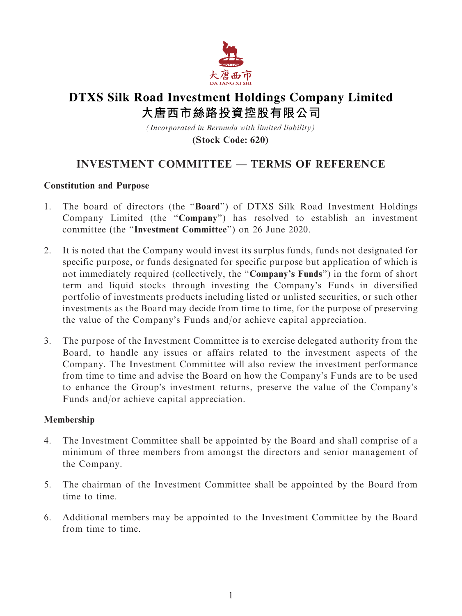

# **DTXS Silk Road Investment Holdings Company Limited** 大唐西市絲路投資控股有限公司

*(Incorporated in Bermuda with limited liability)*

**(Stock Code: 620)**

# INVESTMENT COMMITTEE — TERMS OF REFERENCE

### Constitution and Purpose

- 1. The board of directors (the ''Board'') of DTXS Silk Road Investment Holdings Company Limited (the ''Company'') has resolved to establish an investment committee (the ''Investment Committee'') on 26 June 2020.
- 2. It is noted that the Company would invest its surplus funds, funds not designated for specific purpose, or funds designated for specific purpose but application of which is not immediately required (collectively, the "Company's Funds") in the form of short term and liquid stocks through investing the Company's Funds in diversified portfolio of investments products including listed or unlisted securities, or such other investments as the Board may decide from time to time, for the purpose of preserving the value of the Company's Funds and/or achieve capital appreciation.
- 3. The purpose of the Investment Committee is to exercise delegated authority from the Board, to handle any issues or affairs related to the investment aspects of the Company. The Investment Committee will also review the investment performance from time to time and advise the Board on how the Company's Funds are to be used to enhance the Group's investment returns, preserve the value of the Company's Funds and/or achieve capital appreciation.

# Membership

- 4. The Investment Committee shall be appointed by the Board and shall comprise of a minimum of three members from amongst the directors and senior management of the Company.
- 5. The chairman of the Investment Committee shall be appointed by the Board from time to time.
- 6. Additional members may be appointed to the Investment Committee by the Board from time to time.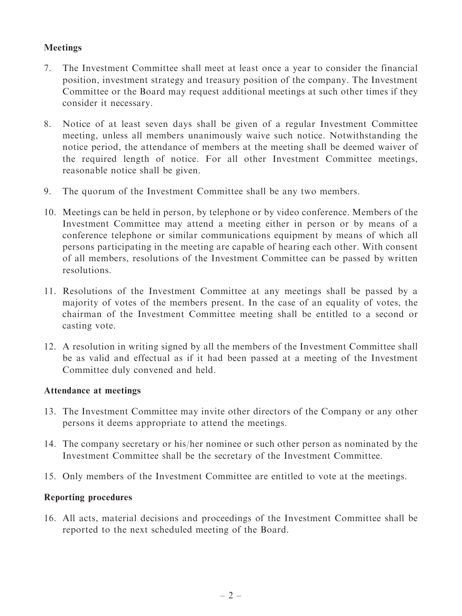# Meetings

- 7. The Investment Committee shall meet at least once a year to consider the financial position, investment strategy and treasury position of the company. The Investment Committee or the Board may request additional meetings at such other times if they consider it necessary.
- 8. Notice of at least seven days shall be given of a regular Investment Committee meeting, unless all members unanimously waive such notice. Notwithstanding the notice period, the attendance of members at the meeting shall be deemed waiver of the required length of notice. For all other Investment Committee meetings, reasonable notice shall be given.
- 9. The quorum of the Investment Committee shall be any two members.
- 10. Meetings can be held in person, by telephone or by video conference. Members of the Investment Committee may attend a meeting either in person or by means of a conference telephone or similar communications equipment by means of which all persons participating in the meeting are capable of hearing each other. With consent of all members, resolutions of the Investment Committee can be passed by written resolutions.
- 11. Resolutions of the Investment Committee at any meetings shall be passed by a majority of votes of the members present. In the case of an equality of votes, the chairman of the Investment Committee meeting shall be entitled to a second or casting vote.
- 12. A resolution in writing signed by all the members of the Investment Committee shall be as valid and effectual as if it had been passed at a meeting of the Investment Committee duly convened and held.

# Attendance at meetings

- 13. The Investment Committee may invite other directors of the Company or any other persons it deems appropriate to attend the meetings.
- 14. The company secretary or his/her nominee or such other person as nominated by the Investment Committee shall be the secretary of the Investment Committee.
- 15. Only members of the Investment Committee are entitled to vote at the meetings.

# Reporting procedures

16. All acts, material decisions and proceedings of the Investment Committee shall be reported to the next scheduled meeting of the Board.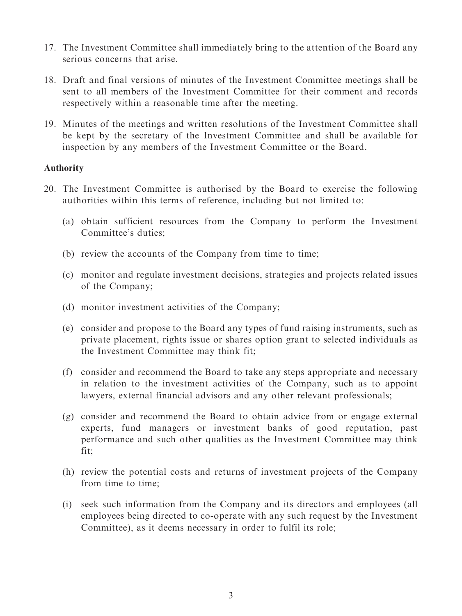- 17. The Investment Committee shall immediately bring to the attention of the Board any serious concerns that arise.
- 18. Draft and final versions of minutes of the Investment Committee meetings shall be sent to all members of the Investment Committee for their comment and records respectively within a reasonable time after the meeting.
- 19. Minutes of the meetings and written resolutions of the Investment Committee shall be kept by the secretary of the Investment Committee and shall be available for inspection by any members of the Investment Committee or the Board.

### Authority

- 20. The Investment Committee is authorised by the Board to exercise the following authorities within this terms of reference, including but not limited to:
	- (a) obtain sufficient resources from the Company to perform the Investment Committee's duties;
	- (b) review the accounts of the Company from time to time;
	- (c) monitor and regulate investment decisions, strategies and projects related issues of the Company;
	- (d) monitor investment activities of the Company;
	- (e) consider and propose to the Board any types of fund raising instruments, such as private placement, rights issue or shares option grant to selected individuals as the Investment Committee may think fit;
	- (f) consider and recommend the Board to take any steps appropriate and necessary in relation to the investment activities of the Company, such as to appoint lawyers, external financial advisors and any other relevant professionals;
	- (g) consider and recommend the Board to obtain advice from or engage external experts, fund managers or investment banks of good reputation, past performance and such other qualities as the Investment Committee may think fit;
	- (h) review the potential costs and returns of investment projects of the Company from time to time;
	- (i) seek such information from the Company and its directors and employees (all employees being directed to co-operate with any such request by the Investment Committee), as it deems necessary in order to fulfil its role;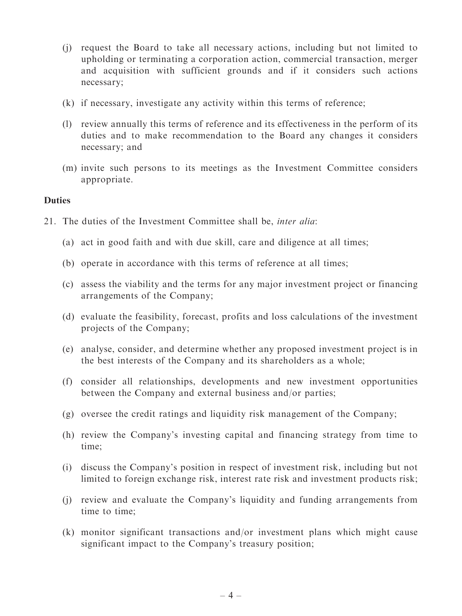- (j) request the Board to take all necessary actions, including but not limited to upholding or terminating a corporation action, commercial transaction, merger and acquisition with sufficient grounds and if it considers such actions necessary;
- (k) if necessary, investigate any activity within this terms of reference;
- (l) review annually this terms of reference and its effectiveness in the perform of its duties and to make recommendation to the Board any changes it considers necessary; and
- (m) invite such persons to its meetings as the Investment Committee considers appropriate.

### **Duties**

- 21. The duties of the Investment Committee shall be, inter alia:
	- (a) act in good faith and with due skill, care and diligence at all times;
	- (b) operate in accordance with this terms of reference at all times;
	- (c) assess the viability and the terms for any major investment project or financing arrangements of the Company;
	- (d) evaluate the feasibility, forecast, profits and loss calculations of the investment projects of the Company;
	- (e) analyse, consider, and determine whether any proposed investment project is in the best interests of the Company and its shareholders as a whole;
	- (f) consider all relationships, developments and new investment opportunities between the Company and external business and/or parties;
	- (g) oversee the credit ratings and liquidity risk management of the Company;
	- (h) review the Company's investing capital and financing strategy from time to time;
	- (i) discuss the Company's position in respect of investment risk, including but not limited to foreign exchange risk, interest rate risk and investment products risk;
	- (j) review and evaluate the Company's liquidity and funding arrangements from time to time;
	- (k) monitor significant transactions and/or investment plans which might cause significant impact to the Company's treasury position;